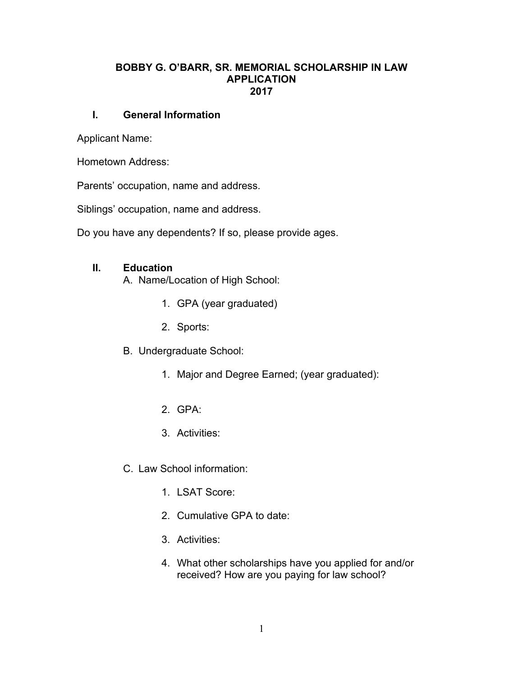#### **BOBBY G. O'BARR, SR. MEMORIAL SCHOLARSHIP IN LAW APPLICATION 2017**

#### **I. General Information**

Applicant Name:

Hometown Address:

Parents' occupation, name and address.

Siblings' occupation, name and address.

Do you have any dependents? If so, please provide ages.

### **II. Education**

A. Name/Location of High School:

- 1. GPA (year graduated)
- 2. Sports:
- B. Undergraduate School:
	- 1. Major and Degree Earned; (year graduated):
	- 2. GPA:
	- 3. Activities:
- C. Law School information:
	- 1. LSAT Score:
	- 2. Cumulative GPA to date:
	- 3. Activities:
	- 4. What other scholarships have you applied for and/or received? How are you paying for law school?